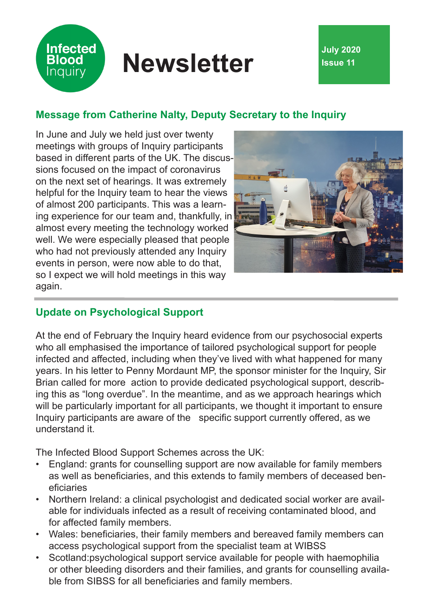# **Newsletter July 2020**

# **Message from Catherine Nalty, Deputy Secretary to the Inquiry**

In June and July we held just over twenty meetings with groups of Inquiry participants based in different parts of the UK. The discussions focused on the impact of coronavirus on the next set of hearings. It was extremely helpful for the Inquiry team to hear the views of almost 200 participants. This was a learning experience for our team and, thankfully, in almost every meeting the technology worked well. We were especially pleased that people who had not previously attended any Inquiry events in person, were now able to do that, so I expect we will hold meetings in this way again.

**Infected Blood Inquiry** 



## **Update on Psychological Support**

At the end of February the Inquiry heard evidence from our psychosocial experts who all emphasised the importance of tailored psychological support for people infected and affected, including when they've lived with what happened for many years. In his letter to Penny Mordaunt MP, the sponsor minister for the Inquiry, Sir Brian called for more action to provide dedicated psychological support, describing this as "long overdue". In the meantime, and as we approach hearings which will be particularly important for all participants, we thought it important to ensure Inquiry participants are aware of the specific support currently offered, as we understand it.

The Infected Blood Support Schemes across the UK:

- England: grants for counselling support are now available for family members as well as beneficiaries, and this extends to family members of deceased beneficiaries
- Northern Ireland: a clinical psychologist and dedicated social worker are available for individuals infected as a result of receiving contaminated blood, and for affected family members.
- Wales: beneficiaries, their family members and bereaved family members can access psychological support from the specialist team at WIBSS
- Scotland:psychological support service available for people with haemophilia or other bleeding disorders and their families, and grants for counselling available from SIBSS for all beneficiaries and family members.